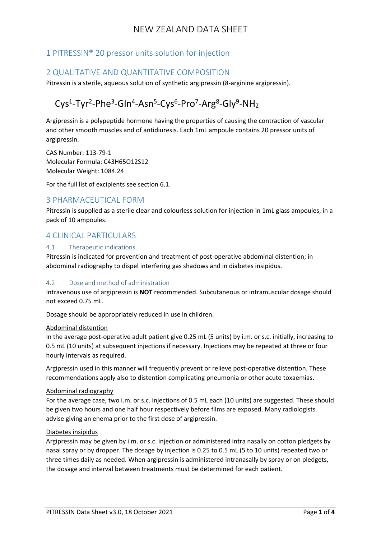## 1 PITRESSIN® 20 pressor units solution for injection

## 2 QUALITATIVE AND QUANTITATIVE COMPOSITION

Pitressin is a sterile, aqueous solution of synthetic argipressin (8-arginine argipressin).

# Cys<sup>1</sup>-Tyr<sup>2</sup>-Phe<sup>3</sup>-Gln<sup>4</sup>-Asn<sup>5</sup>-Cys<sup>6</sup>-Pro<sup>7</sup>-Arg<sup>8</sup>-Gly<sup>9</sup>-NH<sub>2</sub>

Argipressin is a polypeptide hormone having the properties of causing the contraction of vascular and other smooth muscles and of antidiuresis. Each 1mL ampoule contains 20 pressor units of argipressin.

CAS Number: 113-79-1 Molecular Formula: C43H65O12S12 Molecular Weight: 1084.24

For the full list of excipients see section 6.1.

## 3 PHARMACEUTICAL FORM

Pitressin is supplied as a sterile clear and colourless solution for injection in 1mL glass ampoules, in a pack of 10 ampoules.

## 4 CLINICAL PARTICULARS

#### 4.1 Therapeutic indications

Pitressin is indicated for prevention and treatment of post-operative abdominal distention; in abdominal radiography to dispel interfering gas shadows and in diabetes insipidus.

#### 4.2 Dose and method of administration

Intravenous use of argipressin is **NOT** recommended. Subcutaneous or intramuscular dosage should not exceed 0.75 mL.

Dosage should be appropriately reduced in use in children.

#### Abdominal distention

In the average post-operative adult patient give 0.25 mL (5 units) by i.m. or s.c. initially, increasing to 0.5 mL (10 units) at subsequent injections if necessary. Injections may be repeated at three or four hourly intervals as required.

Argipressin used in this manner will frequently prevent or relieve post-operative distention. These recommendations apply also to distention complicating pneumonia or other acute toxaemias.

#### Abdominal radiography

For the average case, two i.m. or s.c. injections of 0.5 mL each (10 units) are suggested. These should be given two hours and one half hour respectively before films are exposed. Many radiologists advise giving an enema prior to the first dose of argipressin.

#### Diabetes insipidus

Argipressin may be given by i.m. or s.c. injection or administered intra nasally on cotton pledgets by nasal spray or by dropper. The dosage by injection is 0.25 to 0.5 mL (5 to 10 units) repeated two or three times daily as needed. When argipressin is administered intranasally by spray or on pledgets, the dosage and interval between treatments must be determined for each patient.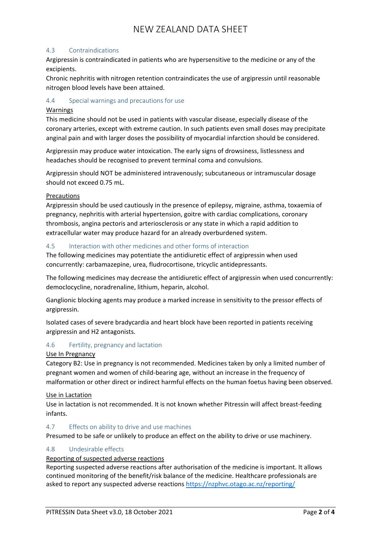#### 4.3 Contraindications

Argipressin is contraindicated in patients who are hypersensitive to the medicine or any of the excipients.

Chronic nephritis with nitrogen retention contraindicates the use of argipressin until reasonable nitrogen blood levels have been attained.

#### 4.4 Special warnings and precautions for use

#### Warnings

This medicine should not be used in patients with vascular disease, especially disease of the coronary arteries, except with extreme caution. In such patients even small doses may precipitate anginal pain and with larger doses the possibility of myocardial infarction should be considered.

Argipressin may produce water intoxication. The early signs of drowsiness, listlessness and headaches should be recognised to prevent terminal coma and convulsions.

Argipressin should NOT be administered intravenously; subcutaneous or intramuscular dosage should not exceed 0.75 mL.

#### Precautions

Argipressin should be used cautiously in the presence of epilepsy, migraine, asthma, toxaemia of pregnancy, nephritis with arterial hypertension, goitre with cardiac complications, coronary thrombosis, angina pectoris and arteriosclerosis or any state in which a rapid addition to extracellular water may produce hazard for an already overburdened system.

#### 4.5 Interaction with other medicines and other forms of interaction

The following medicines may potentiate the antidiuretic effect of argipressin when used concurrently: carbamazepine, urea, fludrocortisone, tricyclic antidepressants.

The following medicines may decrease the antidiuretic effect of argipressin when used concurrently: democlocycline, noradrenaline, lithium, heparin, alcohol.

Ganglionic blocking agents may produce a marked increase in sensitivity to the pressor effects of argipressin.

Isolated cases of severe bradycardia and heart block have been reported in patients receiving argipressin and H2 antagonists.

## 4.6 Fertility, pregnancy and lactation

#### Use In Pregnancy

Category B2: Use in pregnancy is not recommended. Medicines taken by only a limited number of pregnant women and women of child-bearing age, without an increase in the frequency of malformation or other direct or indirect harmful effects on the human foetus having been observed.

Use in Lactation

Use in lactation is not recommended. It is not known whether Pitressin will affect breast-feeding infants.

#### 4.7 Effects on ability to drive and use machines

Presumed to be safe or unlikely to produce an effect on the ability to drive or use machinery.

## 4.8 Undesirable effects

## Reporting of suspected adverse reactions

Reporting suspected adverse reactions after authorisation of the medicine is important. It allows continued monitoring of the benefit/risk balance of the medicine. Healthcare professionals are asked to report any suspected adverse reactions <https://nzphvc.otago.ac.nz/reporting/>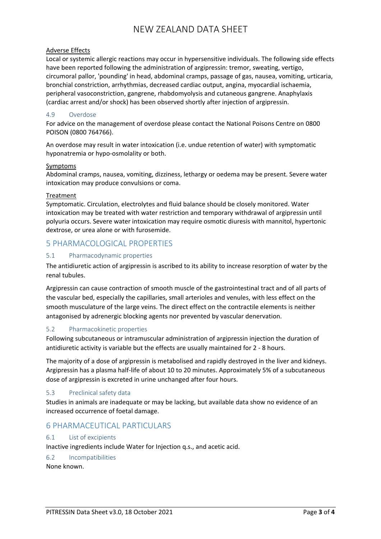#### Adverse Effects

Local or systemic allergic reactions may occur in hypersensitive individuals. The following side effects have been reported following the administration of argipressin: tremor, sweating, vertigo, circumoral pallor, 'pounding' in head, abdominal cramps, passage of gas, nausea, vomiting, urticaria, bronchial constriction, arrhythmias, decreased cardiac output, angina, myocardial ischaemia, peripheral vasoconstriction, gangrene, rhabdomyolysis and cutaneous gangrene. Anaphylaxis (cardiac arrest and/or shock) has been observed shortly after injection of argipressin.

#### 4.9 Overdose

For advice on the management of overdose please contact the National Poisons Centre on 0800 POISON (0800 764766).

An overdose may result in water intoxication (i.e. undue retention of water) with symptomatic hyponatremia or hypo-osmolality or both.

#### Symptoms

Abdominal cramps, nausea, vomiting, dizziness, lethargy or oedema may be present. Severe water intoxication may produce convulsions or coma.

#### Treatment

Symptomatic. Circulation, electrolytes and fluid balance should be closely monitored. Water intoxication may be treated with water restriction and temporary withdrawal of argipressin until polyuria occurs. Severe water intoxication may require osmotic diuresis with mannitol, hypertonic dextrose, or urea alone or with furosemide.

## 5 PHARMACOLOGICAL PROPERTIES

## 5.1 Pharmacodynamic properties

The antidiuretic action of argipressin is ascribed to its ability to increase resorption of water by the renal tubules.

Argipressin can cause contraction of smooth muscle of the gastrointestinal tract and of all parts of the vascular bed, especially the capillaries, small arterioles and venules, with less effect on the smooth musculature of the large veins. The direct effect on the contractile elements is neither antagonised by adrenergic blocking agents nor prevented by vascular denervation.

## 5.2 Pharmacokinetic properties

Following subcutaneous or intramuscular administration of argipressin injection the duration of antidiuretic activity is variable but the effects are usually maintained for 2 - 8 hours.

The majority of a dose of argipressin is metabolised and rapidly destroyed in the liver and kidneys. Argipressin has a plasma half-life of about 10 to 20 minutes. Approximately 5% of a subcutaneous dose of argipressin is excreted in urine unchanged after four hours.

#### 5.3 Preclinical safety data

Studies in animals are inadequate or may be lacking, but available data show no evidence of an increased occurrence of foetal damage.

## 6 PHARMACEUTICAL PARTICULARS

#### 6.1 List of excipients

Inactive ingredients include Water for Injection q.s., and acetic acid.

## 6.2 Incompatibilities

None known.